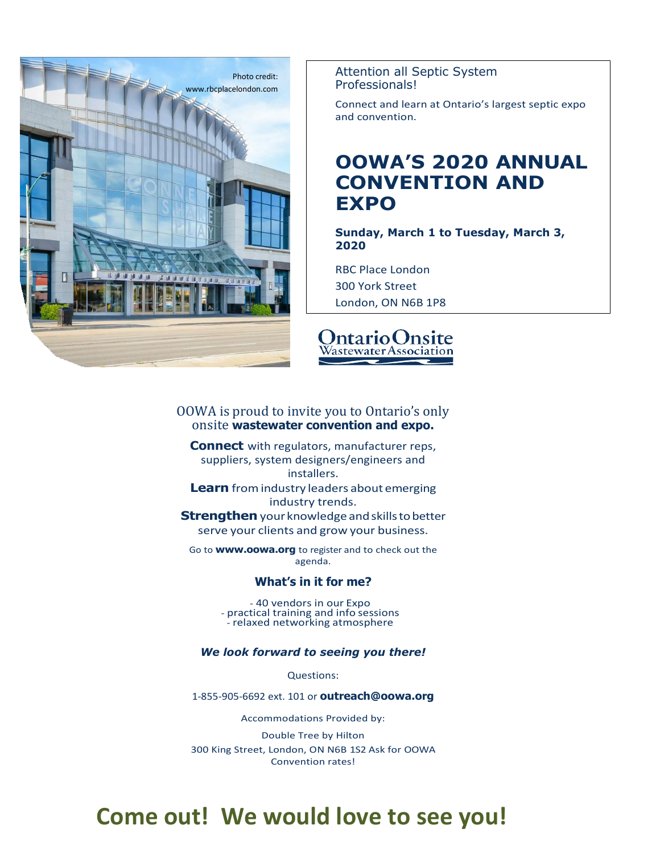

Attention all Septic System Professionals!

Connect and learn at Ontario's largest septic expo and convention.

## **OOWA'S 2020 ANNUAL CONVENTION AND EXPO**

**Sunday, March 1 to Tuesday, March 3, 2020**

RBC Place London 300 York Street London, ON N6B 1P8



#### OOWA is proud to invite you to Ontario's only onsite **wastewater convention and expo.**

**Connect** with regulators, manufacturer reps, suppliers, system designers/engineers and installers. **Learn** from industry leaders about emerging industry trends. **Strengthen** your knowledge and skills to better serve your clients and grow your business.

Go to **[www.oowa.org](http://www.oowa.org/)** to register and to check out the agenda.

#### **What's in it for me?**

- 40 vendors in our Expo - practical training and info sessions - relaxed networking atmosphere

*We look forward to seeing you there!*

Questions:

1-855-905-6692 ext. 101 or **[outreach@oowa.org](mailto:outreach@oowa.org)**

Accommodations Provided by:

Double Tree by Hilton 300 King Street, London, ON N6B 1S2 Ask for OOWA Convention rates!

# **Come out! We would love to see you!**